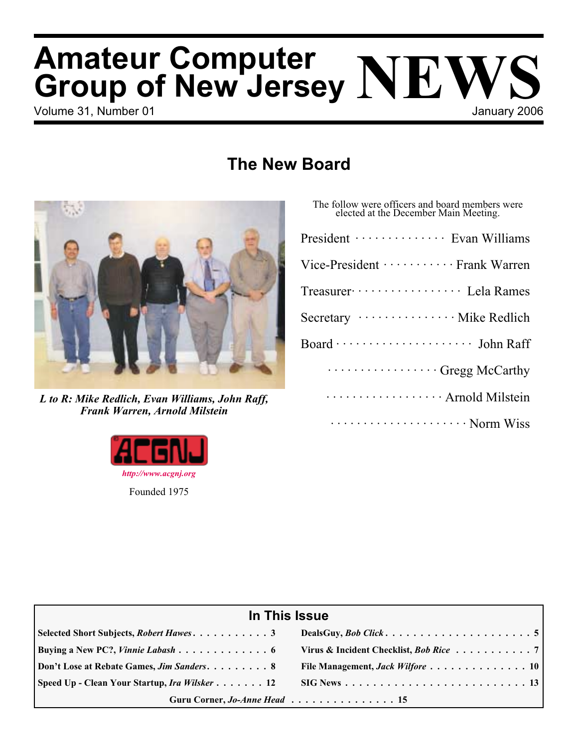# Volume 31, Number 01 **Volume 31, Number 01** January 2006 **Amateur Computer Group of New Jersey NEWS**

# **The New Board**



*L to R: Mike Redlich, Evan Williams, John Raff, Frank Warren, Arnold Milstein*



Г

| The follow were officers and board members were<br>elected at the December Main Meeting. |
|------------------------------------------------------------------------------------------|
| President ················· Evan Williams                                                |
| Vice-President ············· Frank Warren                                                |
| Treasurer ···················· Lela Rames                                                |
| Secretary ················· Mike Redlich                                                 |
| Board ···························· John Raff                                             |
| Gregg McCarthy                                                                           |
| Arnold Milstein                                                                          |
| Norm Wiss                                                                                |

| In This Issue                             |                                               |  |  |
|-------------------------------------------|-----------------------------------------------|--|--|
|                                           |                                               |  |  |
| Buying a New PC?, <i>Vinnie Labash</i> 6  | Virus & Incident Checklist, <i>Bob Rice</i> 7 |  |  |
| Don't Lose at Rebate Games, Jim Sanders 8 |                                               |  |  |
|                                           |                                               |  |  |
| Guru Corner, Jo-Anne Head 15              |                                               |  |  |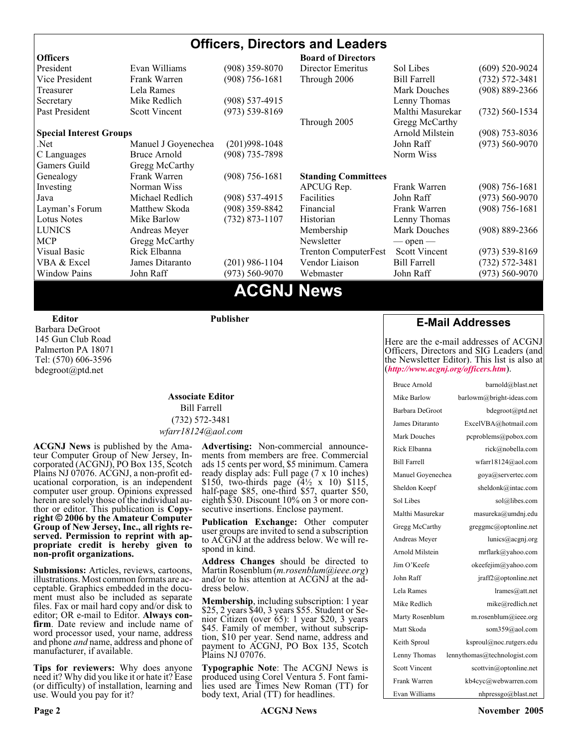#### **Officers, Directors and Leaders Officers Board of Directors**<br> **President** Evan Williams (908) 359-8070 Director Emeritus (908) 359-8070 Director Emeritus Sol Libes (609) 520-9024 Vice President Frank Warren (908) 756-1681 Through 2006 Bill Farrell (732) 572-3481 Treasurer Lela Rames Lela Annes (908) 889-2366 Secretary Mike Redlich (908) 537-4915 Lenny Thomas Past President Scott Vincent (973) 539-8169 Malthi Masurekar (732) 560-1534 Through 2005 Gregg McCarthy **Special Interest Groups Arnold Milstein** (908) 753-8036 Net 1973) Manuel J Goyenechea (201)998-1048<br>C Languages Bruce Arnold (908) 735-7898 100 Norm Wiss C Languages Bruce Arnold (908) 735-7898 Gamers Guild Gregg McCarthy Genealogy Frank Warren (908) 756-1681 **Standing Committees** Investing Norman Wiss APCUG Rep. Frank Warren (908) 756-1681<br>Java Michael Redlich (908) 537-4915 Facilities John Raff (973) 560-9070 Java Michael Redlich (908) 537-4915 Facilities John Raff (973) 560-9070 Layman's Forum Matthew Skoda (908) 359-8842 Financial Frank Warren (908) 756-1681 Lotus Notes Mike Barlow (732) 873-1107 Historian Lenny Thomas LUNICS Andreas Meyer Membership Mark Douches (908) 889-2366 MCP Gregg McCarthy Newsletter — open — Visual Basic Rick Elbanna Trenton ComputerFest Scott Vincent (973) 539-8169 VBA & Excel James Ditaranto (201) 986-1104 Vendor Liaison Bill Farrell (732) 572-3481 Window Pains John Raff (973) 560-9070 Webmaster John Raff (973) 560-9070

# **ACGNJ News**

**Editor**

Barbara DeGroot 145 Gun Club Road Palmerton PA 18071 Tel: (570) 606-3596 bdegroot@ptd.net

#### **Associate Editor** Bill Farrell (732) 572-3481 *wfarr18124@aol.com*

**Publisher**

**ACGNJ News** is published by the Ama- teur Computer Group of New Jersey, In- corporated (ACGNJ), PO Box 135, Scotch Plains NJ 07076. ACGNJ, a non-profit ed-<br>ucational corporation, is an independent computer user group. Opinions expressed<br>herein are solely those of the individual author or editor. This publication is **Copy-**<br>right © 2006 by the Amateur Computer<br>Group of New Jersey, Inc., all rights re-**Group of New Jersey, Inc., all rights re- served. Permission to reprint with ap- propriate credit is hereby given to non-profit organizations.**

**Submissions:** Articles, reviews, cartoons, illustrations. Most common formats are acceptable. Graphics embedded in the docu-<br>ment must also be included as separate files. Fax or mail hard copy and/or disk to editor: OR e-mail to Editor. **Always con**firm. Date review and include name of word processor used, your name, address and phone *and* name, address and phone of manufacturer, if available.

**Tips for reviewers:** Why does anyone need it? Why did you like it or hate it? Ease (or difficulty) of installation, learning and use. Would you pay for it?

**Advertising:** Non-commercial announce- ments from members are free. Commercial ads 15 cents per word, \$5 minimum. Camera ready display ads: Full page (7 x 10 inches) \$150, two-thirds page (4½ x 10) \$115, half-page \$85, one-third \$57, quarter \$50, eighth \$30. Discount 10% on 3 or more con- secutive insertions. Enclose payment.

**Publication Exchange:** Other computer user groups are invited to send a subscription to ACGNJ at the address below. We will re- spond in kind.

**Address Changes** should be directed to Martin Rosenblum (*m.rosenblum@ieee.org*) and/or to his attention at ACGNJ at the ad- dress below.

**Membership**, including subscription: 1 year \$25, 2 years \$40, 3 years \$55. Student or Senior Citizen (over 65): 1 year \$20, 3 years \$45. Family of member, without subscription, \$10 per year. Send name, address and payment to ACGNJ, PO Box 135, Scotch Plains NJ 07076.

**Typographic Note**: The ACGNJ News is produced using Corel Ventura 5. Font fami- lies used are Times New Roman (TT) for body text, Arial (TT) for headlines.

# **E-Mail Addresses**

Here are the e-mail addresses of ACGNJ Officers, Directors and SIG Leaders (and the Newsletter Editor). This list is also at (*<http://www.acgnj.org/officers.htm>*).

| Bruce Arnold         | barnold@blast.net            |
|----------------------|------------------------------|
| Mike Barlow          | barlowm@bright-ideas.com     |
| Barbara DeGroot      | bdegroot@ptd.net             |
| James Ditaranto      | ExcelVBA@hotmail.com         |
| Mark Douches         | pcproblems@pobox.com         |
| Rick Elbanna         | rick@nobella.com             |
| <b>Bill Farrell</b>  | wfarr18124@aol.com           |
| Manuel Govenechea    | goya@servertec.com           |
| Sheldon Koepf        | sheldonk@intac.com           |
| Sol Libes            | sol@libes.com                |
| Malthi Masurekar     | masureka@umdnj.edu           |
| Gregg McCarthy       | greggmc@optonline.net        |
| Andreas Meyer        | lunics@acgnj.org             |
| Arnold Milstein      | mrflark@yahoo.com            |
| Jim O'Keefe          | okeefejim@yahoo.com          |
| John Raff            | jraff2@optonline.net         |
| Lela Rames           | $l$ rames $@at$ .net         |
| Mike Redlich         | mike@redlich.net             |
| Marty Rosenblum      | $m$ .rosenblum@ieee.org      |
| Matt Skoda           | som359@aol.com               |
| Keith Sproul         | ksproul@noc.rutgers.edu      |
| Lenny Thomas         | lennythomas@technologist.com |
| <b>Scott Vincent</b> | scottvin@optonline.net       |
| Frank Warren         | kb4cyc@webwarren.com         |
| Evan Williams        | nhpressgo@blast.net          |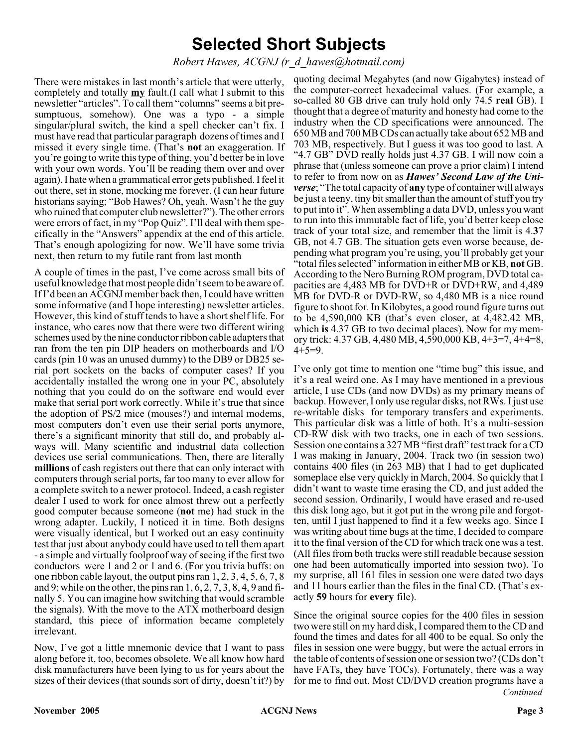# **Selected Short Subjects**

# *Robert Hawes, ACGNJ (r\_d\_hawes@hotmail.com)*

There were mistakes in last month's article that were utterly, completely and totally **my** fault.(I call what I submit to this newsletter "articles". To call them "columns" seems a bit presumptuous, somehow). One was a typo - a simple singular/plural switch, the kind a spell checker can't fix. I must have read that particular paragraph dozens of times and I missed it every single time. (That's **not** an exaggeration. If you're going to write this type of thing, you'd better be in love with your own words. You'll be reading them over and over again). I hate when a grammatical error gets published. I feel it out there, set in stone, mocking me forever. (I can hear future historians saying; "Bob Hawes? Oh, yeah. Wasn't he the guy who ruined that computer club newsletter?"). The other errors were errors of fact, in my "Pop Quiz". I'll deal with them specifically in the "Answers" appendix at the end of this article. That's enough apologizing for now. We'll have some trivia next, then return to my futile rant from last month

A couple of times in the past, I've come across small bits of useful knowledge that most people didn't seem to be aware of. If I'd been an ACGNJ member back then, I could have written some informative (and I hope interesting) newsletter articles. However, this kind of stuff tends to have a short shelf life. For instance, who cares now that there were two different wiring schemes used by the nine conductor ribbon cable adapters that ran from the ten pin DIP headers on motherboards and I/O cards (pin 10 was an unused dummy) to the DB9 or DB25 serial port sockets on the backs of computer cases? If you accidentally installed the wrong one in your PC, absolutely nothing that you could do on the software end would ever make that serial port work correctly. While it's true that since the adoption of PS/2 mice (mouses?) and internal modems, most computers don't even use their serial ports anymore, there's a significant minority that still do, and probably always will. Many scientific and industrial data collection devices use serial communications. Then, there are literally **millions** of cash registers out there that can only interact with computers through serial ports, far too many to ever allow for a complete switch to a newer protocol. Indeed, a cash register dealer I used to work for once almost threw out a perfectly good computer because someone (**not** me) had stuck in the wrong adapter. Luckily, I noticed it in time. Both designs were visually identical, but I worked out an easy continuity test that just about anybody could have used to tell them apart - a simple and virtually foolproof way of seeing if the first two conductors were 1 and 2 or 1 and 6. (For you trivia buffs: on one ribbon cable layout, the output pins ran 1, 2, 3, 4, 5, 6, 7, 8 and 9; while on the other, the pins ran  $1, 6, 2, 7, 3, 8, 4, 9$  and finally 5. You can imagine how switching that would scramble the signals). With the move to the ATX motherboard design standard, this piece of information became completely irrelevant.

Now, I've got a little mnemonic device that I want to pass along before it, too, becomes obsolete. We all know how hard disk manufacturers have been lying to us for years about the sizes of their devices (that sounds sort of dirty, doesn't it?) by

quoting decimal Megabytes (and now Gigabytes) instead of the computer-correct hexadecimal values. (For example, a so-called 80 GB drive can truly hold only 74.5 **real** GB). I thought that a degree of maturity and honesty had come to the industry when the CD specifications were announced. The 650 MB and 700 MB CDs can actually take about 652 MB and 703 MB, respectively. But I guess it was too good to last. A "4.7 GB" DVD really holds just 4.37 GB. I will now coin a phrase that (unless someone can prove a prior claim) I intend to refer to from now on as *Hawes' Second Law of the Universe*; "The total capacity of **any** type of container will always be just a teeny, tiny bit smaller than the amount of stuff you try to put into it". When assembling a data DVD, unless you want to run into this immutable fact of life, you'd better keep close track of your total size, and remember that the limit is 4.**3**7 GB, not 4.7 GB. The situation gets even worse because, depending what program you're using, you'll probably get your "total files selected" information in either MB or KB, **not** GB. According to the Nero Burning ROM program, DVD total capacities are 4,483 MB for DVD+R or DVD+RW, and 4,489 MB for DVD-R or DVD-RW, so 4,480 MB is a nice round figure to shoot for. In Kilobytes, a good round figure turns out to be 4,590,000 KB (that's even closer, at 4,482.42 MB, which **is** 4.37 GB to two decimal places). Now for my memory trick: 4.37 GB, 4,480 MB, 4,590,000 KB, 4+3=7, 4+4=8,  $4+5=9$ .

I've only got time to mention one "time bug" this issue, and it's a real weird one. As I may have mentioned in a previous article, I use CDs (and now DVDs) as my primary means of backup. However, I only use regular disks, not RWs. I just use re-writable disks for temporary transfers and experiments. This particular disk was a little of both. It's a multi-session CD-RW disk with two tracks, one in each of two sessions. Session one contains a 327 MB "first draft" test track for a CD I was making in January, 2004. Track two (in session two) contains 400 files (in 263 MB) that I had to get duplicated someplace else very quickly in March, 2004. So quickly that I didn't want to waste time erasing the CD, and just added the second session. Ordinarily, I would have erased and re-used this disk long ago, but it got put in the wrong pile and forgotten, until I just happened to find it a few weeks ago. Since I was writing about time bugs at the time, I decided to compare it to the final version of the CD for which track one was a test. (All files from both tracks were still readable because session one had been automatically imported into session two). To my surprise, all 161 files in session one were dated two days and 11 hours earlier than the files in the final CD. (That's exactly **59** hours for **every** file).

Since the original source copies for the 400 files in session two were still on my hard disk, I compared them to the CD and found the times and dates for all 400 to be equal. So only the files in session one were buggy, but were the actual errors in the table of contents of session one or session two? (CDs don't have FATs, they have TOCs). Fortunately, there was a way for me to find out. Most CD/DVD creation programs have a *Continued*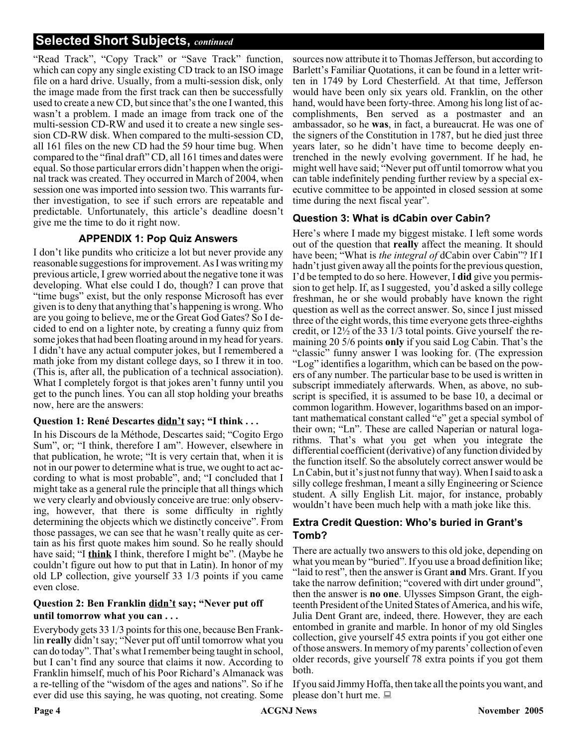# **Selected Short Subjects,** *continued*

"Read Track", "Copy Track" or "Save Track" function, which can copy any single existing CD track to an ISO image file on a hard drive. Usually, from a multi-session disk, only the image made from the first track can then be successfully used to create a new CD, but since that's the one I wanted, this wasn't a problem. I made an image from track one of the multi-session CD-RW and used it to create a new single session CD-RW disk. When compared to the multi-session CD, all 161 files on the new CD had the 59 hour time bug. When compared to the "final draft" CD, all 161 times and dates were equal. So those particular errors didn't happen when the original track was created. They occurred in March of 2004, when session one was imported into session two. This warrants further investigation, to see if such errors are repeatable and predictable. Unfortunately, this article's deadline doesn't give me the time to do it right now.

# **APPENDIX 1: Pop Quiz Answers**

I don't like pundits who criticize a lot but never provide any reasonable suggestions for improvement. As I was writing my previous article, I grew worried about the negative tone it was developing. What else could I do, though? I can prove that "time bugs" exist, but the only response Microsoft has ever given is to deny that anything that's happening is wrong. Who are you going to believe, me or the Great God Gates? So I decided to end on a lighter note, by creating a funny quiz from some jokes that had been floating around in my head for years. I didn't have any actual computer jokes, but I remembered a math joke from my distant college days, so I threw it in too. (This is, after all, the publication of a technical association). What I completely forgot is that jokes aren't funny until you get to the punch lines. You can all stop holding your breaths now, here are the answers:

# **Question 1: René Descartes didn't say; "I think . . .**

In his Discours de la Méthode, Descartes said; "Cogito Ergo Sum", or; "I think, therefore I am". However, elsewhere in that publication, he wrote; "It is very certain that, when it is not in our power to determine what is true, we ought to act according to what is most probable", and; "I concluded that I might take as a general rule the principle that all things which we very clearly and obviously conceive are true: only observing, however, that there is some difficulty in rightly determining the objects which we distinctly conceive". From those passages, we can see that he wasn't really quite as certain as his first quote makes him sound. So he really should have said; "I **think** I think, therefore I might be". (Maybe he couldn't figure out how to put that in Latin). In honor of my old LP collection, give yourself 33 1/3 points if you came even close.

# **Question 2: Ben Franklin didn't say; "Never put off until tomorrow what you can . . .**

Everybody gets 33 1/3 points for this one, because Ben Franklin **really** didn't say; "Never put off until tomorrow what you can do today". That's what I remember being taught in school, but I can't find any source that claims it now. According to Franklin himself, much of his Poor Richard's Almanack was a re-telling of the "wisdom of the ages and nations". So if he ever did use this saying, he was quoting, not creating. Some

sources now attribute it to Thomas Jefferson, but according to Barlett's Familiar Quotations, it can be found in a letter written in 1749 by Lord Chesterfield. At that time, Jefferson would have been only six years old. Franklin, on the other hand, would have been forty-three. Among his long list of accomplishments, Ben served as a postmaster and an ambassador, so he **was**, in fact, a bureaucrat. He was one of the signers of the Constitution in 1787, but he died just three years later, so he didn't have time to become deeply entrenched in the newly evolving government. If he had, he might well have said; "Never put off until tomorrow what you can table indefinitely pending further review by a special executive committee to be appointed in closed session at some time during the next fiscal year".

# **Question 3: What is dCabin over Cabin?**

Here's where I made my biggest mistake. I left some words out of the question that **really** affect the meaning. It should have been; "What is *the integral of* dCabin over Cabin"? If I hadn't just given away all the points for the previous question. I'd be tempted to do so here. However, I **did** give you permission to get help. If, as I suggested, you'd asked a silly college freshman, he or she would probably have known the right question as well as the correct answer. So, since I just missed three of the eight words, this time everyone gets three-eighths credit, or 12½ of the 33 1/3 total points. Give yourself the remaining 20 5/6 points **only** if you said Log Cabin. That's the "classic" funny answer I was looking for. (The expression "Log" identifies a logarithm, which can be based on the powers of any number. The particular base to be used is written in subscript immediately afterwards. When, as above, no subscript is specified, it is assumed to be base 10, a decimal or common logarithm. However, logarithms based on an important mathematical constant called "e" get a special symbol of their own; "Ln". These are called Naperian or natural logarithms. That's what you get when you integrate the differential coefficient (derivative) of any function divided by the function itself. So the absolutely correct answer would be Ln Cabin, but it's just not funny that way). When I said to ask a silly college freshman, I meant a silly Engineering or Science student. A silly English Lit. major, for instance, probably wouldn't have been much help with a math joke like this.

# **Extra Credit Question: Who's buried in Grant's Tomb?**

There are actually two answers to this old joke, depending on what you mean by "buried". If you use a broad definition like; "laid to rest", then the answer is Grant **and** Mrs. Grant. If you take the narrow definition; "covered with dirt under ground", then the answer is **no one**. Ulysses Simpson Grant, the eighteenth President of the United States of America, and his wife, Julia Dent Grant are, indeed, there. However, they are each entombed in granite and marble. In honor of my old Singles collection, give yourself 45 extra points if you got either one of those answers. In memory of my parents' collection of even older records, give yourself 78 extra points if you got them both.

If you said Jimmy Hoffa, then take all the points you want, and please don't hurt me.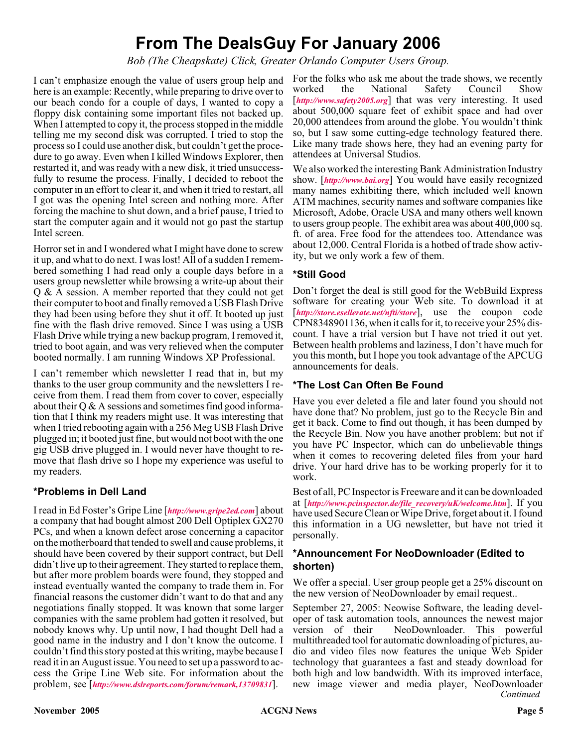# **From The DealsGuy For January 2006**

*Bob (The Cheapskate) Click, Greater Orlando Computer Users Group.*

I can't emphasize enough the value of users group help and here is an example: Recently, while preparing to drive over to our beach condo for a couple of days, I wanted to copy a floppy disk containing some important files not backed up. When I attempted to copy it, the process stopped in the middle telling me my second disk was corrupted. I tried to stop the process so I could use another disk, but couldn't get the procedure to go away. Even when I killed Windows Explorer, then restarted it, and was ready with a new disk, it tried unsuccessfully to resume the process. Finally, I decided to reboot the computer in an effort to clear it, and when it tried to restart, all I got was the opening Intel screen and nothing more. After forcing the machine to shut down, and a brief pause, I tried to start the computer again and it would not go past the startup Intel screen.

Horror set in and I wondered what I might have done to screw it up, and what to do next. I was lost! All of a sudden I remembered something I had read only a couple days before in a users group newsletter while browsing a write-up about their Q & A session. A member reported that they could not get their computer to boot and finally removed a USB Flash Drive they had been using before they shut it off. It booted up just fine with the flash drive removed. Since I was using a USB Flash Drive while trying a new backup program, I removed it, tried to boot again, and was very relieved when the computer booted normally. I am running Windows XP Professional.

I can't remember which newsletter I read that in, but my thanks to the user group community and the newsletters I receive from them. I read them from cover to cover, especially about their Q & A sessions and sometimes find good information that I think my readers might use. It was interesting that when I tried rebooting again with a 256 Meg USB Flash Drive plugged in; it booted just fine, but would not boot with the one gig USB drive plugged in. I would never have thought to remove that flash drive so I hope my experience was useful to my readers.

# **\*Problems in Dell Land**

I read in Ed Foster's Gripe Line [*<http://www.gripe2ed.com>*] about a company that had bought almost 200 Dell Optiplex GX270 PCs, and when a known defect arose concerning a capacitor on the motherboard that tended to swell and cause problems, it should have been covered by their support contract, but Dell didn't live up to their agreement. They started to replace them, but after more problem boards were found, they stopped and instead eventually wanted the company to trade them in. For financial reasons the customer didn't want to do that and any negotiations finally stopped. It was known that some larger companies with the same problem had gotten it resolved, but nobody knows why. Up until now, I had thought Dell had a good name in the industry and I don't know the outcome. I couldn't find this story posted at this writing, maybe because I read it in an August issue. You need to set up a password to access the Gripe Line Web site. For information about the problem, see [*<http://www.dslreports.com/forum/remark,13709831>*].

For the folks who ask me about the trade shows, we recently worked the National Safety Council Show [*<http://www.safety2005.org>*] that was very interesting. It used about 500,000 square feet of exhibit space and had over 20,000 attendees from around the globe. You wouldn't think so, but I saw some cutting-edge technology featured there. Like many trade shows here, they had an evening party for attendees at Universal Studios.

We also worked the interesting Bank Administration Industry show. [*<http://www.bai.org>*] You would have easily recognized many names exhibiting there, which included well known ATM machines, security names and software companies like Microsoft, Adobe, Oracle USA and many others well known to users group people. The exhibit area was about 400,000 sq. ft. of area. Free food for the attendees too. Attendance was about 12,000. Central Florida is a hotbed of trade show activity, but we only work a few of them.

# **\*Still Good**

Don't forget the deal is still good for the WebBuild Express software for creating your Web site. To download it at [<http://store.esellerate.net/nfti/store>], use the coupon code CPN8348901136, when it calls for it, to receive your 25% discount. I have a trial version but I have not tried it out yet. Between health problems and laziness, I don't have much for you this month, but I hope you took advantage of the APCUG announcements for deals.

# **\*The Lost Can Often Be Found**

Have you ever deleted a file and later found you should not have done that? No problem, just go to the Recycle Bin and get it back. Come to find out though, it has been dumped by the Recycle Bin. Now you have another problem; but not if you have PC Inspector, which can do unbelievable things when it comes to recovering deleted files from your hard drive. Your hard drive has to be working properly for it to work.

Best of all, PC Inspector is Freeware and it can be downloaded at [*[http://www.pcinspector.de/file\\_recovery/uK/welcome.htm](http://www.pcinspector.de/file_recovery/uK/welcome.htm)*]. If you have used Secure Clean or Wipe Drive, forget about it. I found this information in a UG newsletter, but have not tried it personally.

# **\*Announcement For NeoDownloader (Edited to shorten)**

We offer a special. User group people get a 25% discount on the new version of NeoDownloader by email request..

*Continued* September 27, 2005: Neowise Software, the leading developer of task automation tools, announces the newest major version of their NeoDownloader. This powerful multithreaded tool for automatic downloading of pictures, audio and video files now features the unique Web Spider technology that guarantees a fast and steady download for both high and low bandwidth. With its improved interface, new image viewer and media player, NeoDownloader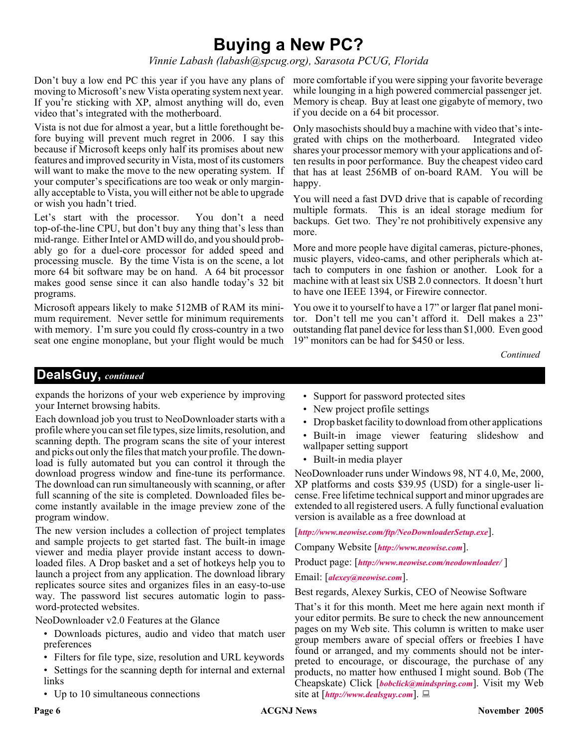# **Buying a New PC?**

*Vinnie Labash (labash@spcug.org), Sarasota PCUG, Florida*

moving to Microsoft's new Vista operating system next year. If you're sticking with XP, almost anything will do, even video that's integrated with the motherboard.

Vista is not due for almost a year, but a little forethought before buying will prevent much regret in 2006. I say this because if Microsoft keeps only half its promises about new features and improved security in Vista, most of its customers will want to make the move to the new operating system. If your computer's specifications are too weak or only marginally acceptable to Vista, you will either not be able to upgrade or wish you hadn't tried.

Let's start with the processor. You don't a need top-of-the-line CPU, but don't buy any thing that's less than mid-range. Either Intel or AMD will do, and you should probably go for a duel-core processor for added speed and processing muscle. By the time Vista is on the scene, a lot more 64 bit software may be on hand. A 64 bit processor makes good sense since it can also handle today's 32 bit programs.

Microsoft appears likely to make 512MB of RAM its minimum requirement. Never settle for minimum requirements with memory. I'm sure you could fly cross-country in a two seat one engine monoplane, but your flight would be much

Don't buy a low end PC this year if you have any plans of more comfortable if you were sipping your favorite beverage while lounging in a high powered commercial passenger jet. Memory is cheap. Buy at least one gigabyte of memory, two if you decide on a 64 bit processor.

> Only masochists should buy a machine with video that's integrated with chips on the motherboard. Integrated video shares your processor memory with your applications and often results in poor performance. Buy the cheapest video card that has at least 256MB of on-board RAM. You will be happy.

> You will need a fast DVD drive that is capable of recording multiple formats. This is an ideal storage medium for backups. Get two. They're not prohibitively expensive any more.

> More and more people have digital cameras, picture-phones, music players, video-cams, and other peripherals which attach to computers in one fashion or another. Look for a machine with at least six USB 2.0 connectors. It doesn't hurt to have one IEEE 1394, or Firewire connector.

> You owe it to yourself to have a 17" or larger flat panel monitor. Don't tell me you can't afford it. Dell makes a 23" outstanding flat panel device for less than \$1,000. Even good 19" monitors can be had for \$450 or less.

> > *Continued*

# **DealsGuy,** *continued*

expands the horizons of your web experience by improving your Internet browsing habits.

Each download job you trust to NeoDownloader starts with a profile where you can set file types, size limits, resolution, and scanning depth. The program scans the site of your interest and picks out only the files that match your profile. The download is fully automated but you can control it through the download progress window and fine-tune its performance. The download can run simultaneously with scanning, or after full scanning of the site is completed. Downloaded files become instantly available in the image preview zone of the program window.

The new version includes a collection of project templates and sample projects to get started fast. The built-in image viewer and media player provide instant access to downloaded files. A Drop basket and a set of hotkeys help you to launch a project from any application. The download library replicates source sites and organizes files in an easy-to-use way. The password list secures automatic login to password-protected websites.

NeoDownloader v2.0 Features at the Glance

- Downloads pictures, audio and video that match user preferences
- Filters for file type, size, resolution and URL keywords
- Settings for the scanning depth for internal and external links
- Up to 10 simultaneous connections
- Support for password protected sites
- New project profile settings
- Drop basket facility to download from other applications
- Built-in image viewer featuring slideshow and wallpaper setting support
- Built-in media player

NeoDownloader runs under Windows 98, NT 4.0, Me, 2000, XP platforms and costs \$39.95 (USD) for a single-user license. Free lifetime technical support and minor upgrades are extended to all registered users. A fully functional evaluation version is available as a free download at

[*<http://www.neowise.com/ftp/NeoDownloaderSetup.exe>*].

Company Website [*<http://www.neowise.com>*].

Product page: [*<http://www.neowise.com/neodownloader/>* ]

Email: [*[alexey@neowise.com](mailto:alexey@neowise.com)*].

Best regards, Alexey Surkis, CEO of Neowise Software

That's it for this month. Meet me here again next month if your editor permits. Be sure to check the new announcement pages on my Web site. This column is written to make user group members aware of special offers or freebies I have found or arranged, and my comments should not be interpreted to encourage, or discourage, the purchase of any products, no matter how enthused I might sound. Bob (The Cheapskate) Click [*[bobclick@mindspring.com](mailto:bobclick@mindspring.com)*]. Visit my Web site at [*<http://www.dealsguy.com>*].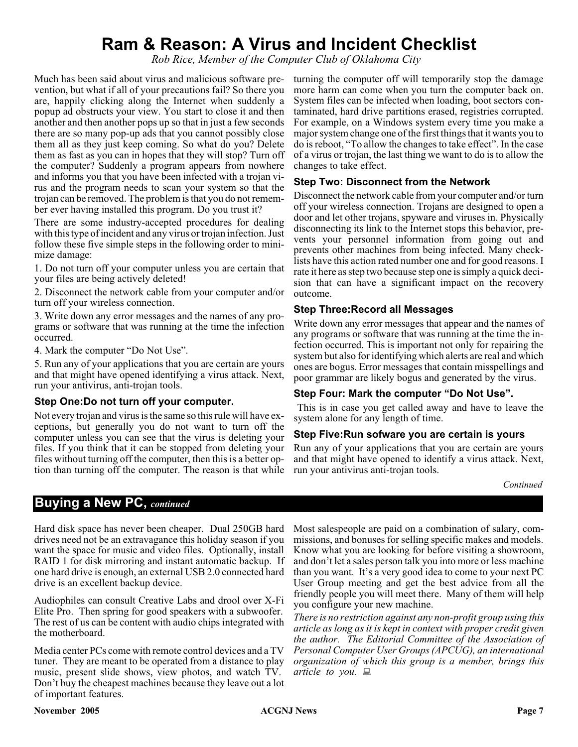# **Ram & Reason: A Virus and Incident Checklist**

*Rob Rice, Member of the Computer Club of Oklahoma City*

Much has been said about virus and malicious software prevention, but what if all of your precautions fail? So there you are, happily clicking along the Internet when suddenly a popup ad obstructs your view. You start to close it and then another and then another pops up so that in just a few seconds there are so many pop-up ads that you cannot possibly close them all as they just keep coming. So what do you? Delete them as fast as you can in hopes that they will stop? Turn off the computer? Suddenly a program appears from nowhere and informs you that you have been infected with a trojan virus and the program needs to scan your system so that the trojan can be removed. The problem is that you do not remember ever having installed this program. Do you trust it?

There are some industry-accepted procedures for dealing with this type of incident and any virus or trojan infection. Just follow these five simple steps in the following order to minimize damage:

1. Do not turn off your computer unless you are certain that your files are being actively deleted!

2. Disconnect the network cable from your computer and/or turn off your wireless connection.

3. Write down any error messages and the names of any programs or software that was running at the time the infection occurred.

4. Mark the computer "Do Not Use".

5. Run any of your applications that you are certain are yours and that might have opened identifying a virus attack. Next, run your antivirus, anti-trojan tools.

#### **Step One:Do not turn off your computer.**

Not every trojan and virus is the same so this rule will have exceptions, but generally you do not want to turn off the computer unless you can see that the virus is deleting your files. If you think that it can be stopped from deleting your files without turning off the computer, then this is a better option than turning off the computer. The reason is that while

turning the computer off will temporarily stop the damage more harm can come when you turn the computer back on. System files can be infected when loading, boot sectors contaminated, hard drive partitions erased, registries corrupted. For example, on a Windows system every time you make a major system change one of the first things that it wants you to do is reboot, "To allow the changes to take effect". In the case of a virus or trojan, the last thing we want to do is to allow the changes to take effect.

# **Step Two: Disconnect from the Network**

Disconnect the network cable from your computer and/or turn off your wireless connection. Trojans are designed to open a door and let other trojans, spyware and viruses in. Physically disconnecting its link to the Internet stops this behavior, prevents your personnel information from going out and prevents other machines from being infected. Many checklists have this action rated number one and for good reasons. I rate it here as step two because step one is simply a quick decision that can have a significant impact on the recovery outcome.

#### **Step Three:Record all Messages**

Write down any error messages that appear and the names of any programs or software that was running at the time the infection occurred. This is important not only for repairing the system but also for identifying which alerts are real and which ones are bogus. Error messages that contain misspellings and poor grammar are likely bogus and generated by the virus.

# **Step Four: Mark the computer "Do Not Use".**

This is in case you get called away and have to leave the system alone for any length of time.

# **Step Five:Run sofware you are certain is yours**

Run any of your applications that you are certain are yours and that might have opened to identify a virus attack. Next, run your antivirus anti-trojan tools.

# **Buying a New PC,** *continued*

Hard disk space has never been cheaper. Dual 250GB hard drives need not be an extravagance this holiday season if you want the space for music and video files. Optionally, install RAID 1 for disk mirroring and instant automatic backup. If one hard drive is enough, an external USB 2.0 connected hard drive is an excellent backup device.

Audiophiles can consult Creative Labs and drool over X-Fi Elite Pro. Then spring for good speakers with a subwoofer. The rest of us can be content with audio chips integrated with the motherboard.

Media center PCs come with remote control devices and a TV tuner. They are meant to be operated from a distance to play music, present slide shows, view photos, and watch TV. Don't buy the cheapest machines because they leave out a lot of important features.

Most salespeople are paid on a combination of salary, commissions, and bonuses for selling specific makes and models. Know what you are looking for before visiting a showroom, and don't let a sales person talk you into more or less machine than you want. It's a very good idea to come to your next PC User Group meeting and get the best advice from all the friendly people you will meet there. Many of them will help you configure your new machine.

*There is no restriction against any non-profit group using this article as long as it is kept in context with proper credit given the author. The Editorial Committee of the Association of Personal Computer User Groups (APCUG), an international organization of which this group is a member, brings this article to you.*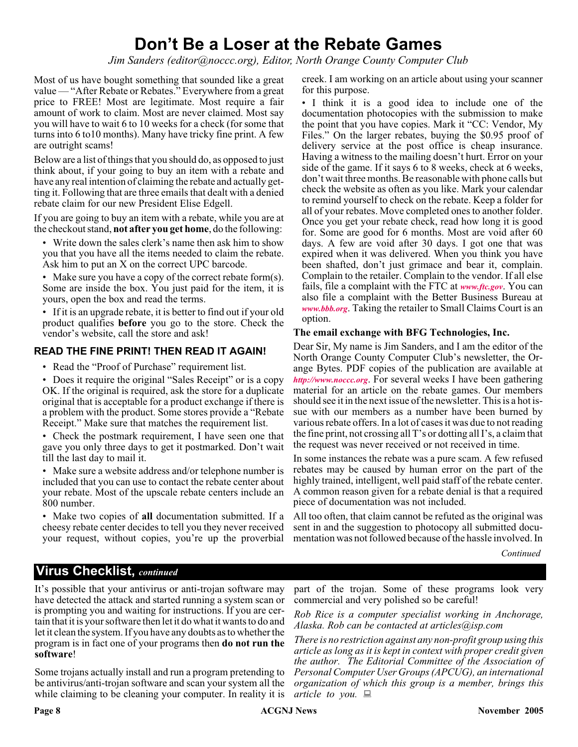# **Don't Be a Loser at the Rebate Games**

*Jim Sanders (editor@noccc.org), Editor, North Orange County Computer Club*

Most of us have bought something that sounded like a great value — "After Rebate or Rebates." Everywhere from a great price to FREE! Most are legitimate. Most require a fair amount of work to claim. Most are never claimed. Most say you will have to wait 6 to 10 weeks for a check (for some that turns into 6 to10 months). Many have tricky fine print. A few are outright scams!

Below are a list of things that you should do, as opposed to just think about, if your going to buy an item with a rebate and have any real intention of claiming the rebate and actually getting it. Following that are three emails that dealt with a denied rebate claim for our new President Elise Edgell.

If you are going to buy an item with a rebate, while you are at the checkout stand, **not after you get home**, do the following:

• Write down the sales clerk's name then ask him to show you that you have all the items needed to claim the rebate. Ask him to put an X on the correct UPC barcode.

• Make sure you have a copy of the correct rebate form(s). Some are inside the box. You just paid for the item, it is yours, open the box and read the terms.

• If it is an upgrade rebate, it is better to find out if your old product qualifies **before** you go to the store. Check the vendor's website, call the store and ask!

#### **READ THE FINE PRINT! THEN READ IT AGAIN!**

• Read the "Proof of Purchase" requirement list.

• Does it require the original "Sales Receipt" or is a copy OK. If the original is required, ask the store for a duplicate original that is acceptable for a product exchange if there is a problem with the product. Some stores provide a "Rebate Receipt." Make sure that matches the requirement list.

• Check the postmark requirement, I have seen one that gave you only three days to get it postmarked. Don't wait till the last day to mail it.

• Make sure a website address and/or telephone number is included that you can use to contact the rebate center about your rebate. Most of the upscale rebate centers include an 800 number.

• Make two copies of **all** documentation submitted. If a cheesy rebate center decides to tell you they never received your request, without copies, you're up the proverbial creek. I am working on an article about using your scanner for this purpose.

• I think it is a good idea to include one of the documentation photocopies with the submission to make the point that you have copies. Mark it "CC: Vendor, My Files." On the larger rebates, buying the \$0.95 proof of delivery service at the post office is cheap insurance. Having a witness to the mailing doesn't hurt. Error on your side of the game. If it says 6 to 8 weeks, check at 6 weeks, don't wait three months. Be reasonable with phone calls but check the website as often as you like. Mark your calendar to remind yourself to check on the rebate. Keep a folder for all of your rebates. Move completed ones to another folder. Once you get your rebate check, read how long it is good for. Some are good for 6 months. Most are void after 60 days. A few are void after 30 days. I got one that was expired when it was delivered. When you think you have been shafted, don't just grimace and bear it, complain. Complain to the retailer. Complain to the vendor. If all else fails, file a complaint with the FTC at *[www.ftc.gov](http://www.ftc.gov)*. You can also file a complaint with the Better Business Bureau at *[www.bbb.org](http://www.bbb.org)*. Taking the retailer to Small Claims Court is an option.

#### **The email exchange with BFG Technologies, Inc.**

Dear Sir, My name is Jim Sanders, and I am the editor of the North Orange County Computer Club's newsletter, the Orange Bytes. PDF copies of the publication are available at *<http://www.noccc.org>*. For several weeks I have been gathering material for an article on the rebate games. Our members should see it in the next issue of the newsletter. This is a hot issue with our members as a number have been burned by various rebate offers. In a lot of cases it was due to not reading the fine print, not crossing all T's or dotting all I's, a claim that the request was never received or not received in time.

In some instances the rebate was a pure scam. A few refused rebates may be caused by human error on the part of the highly trained, intelligent, well paid staff of the rebate center. A common reason given for a rebate denial is that a required piece of documentation was not included.

All too often, that claim cannot be refuted as the original was sent in and the suggestion to photocopy all submitted documentation was not followed because of the hassle involved. In

*Continued*

# **Virus Checklist,** *continued*

It's possible that your antivirus or anti-trojan software may have detected the attack and started running a system scan or is prompting you and waiting for instructions. If you are certain that it is your software then let it do what it wants to do and let it clean the system. If you have any doubts as to whether the program is in fact one of your programs then **do not run the software**!

Some trojans actually install and run a program pretending to be antivirus/anti-trojan software and scan your system all the while claiming to be cleaning your computer. In reality it is

part of the trojan. Some of these programs look very commercial and very polished so be careful!

*Rob Rice is a computer specialist working in Anchorage, Alaska. Rob can be contacted at articles@isp.com*

*There is no restriction against any non-profit group using this article as long as it is kept in context with proper credit given the author. The Editorial Committee of the Association of Personal Computer User Groups (APCUG), an international organization of which this group is a member, brings this article to you.*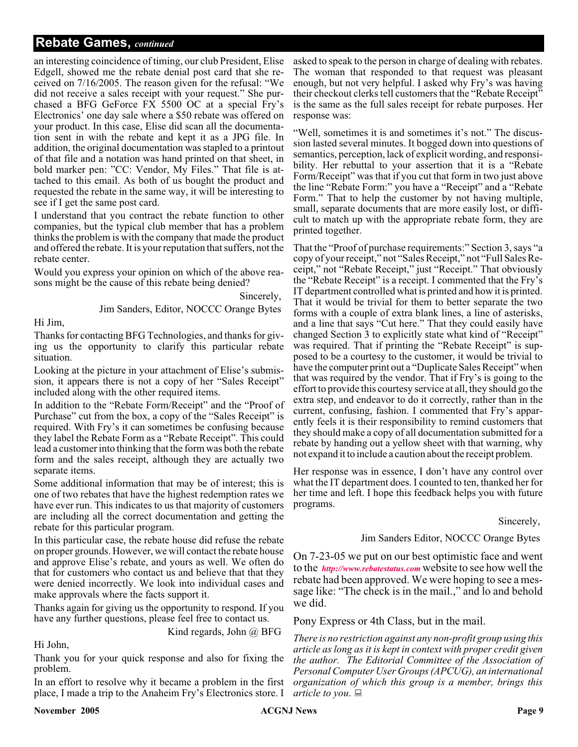# **Rebate Games,** *continued*

an interesting coincidence of timing, our club President, Elise Edgell, showed me the rebate denial post card that she received on 7/16/2005. The reason given for the refusal: "We did not receive a sales receipt with your request." She purchased a BFG GeForce FX 5500 OC at a special Fry's Electronics' one day sale where a \$50 rebate was offered on your product. In this case, Elise did scan all the documentation sent in with the rebate and kept it as a JPG file. In addition, the original documentation was stapled to a printout of that file and a notation was hand printed on that sheet, in bold marker pen: "CC: Vendor, My Files." That file is attached to this email. As both of us bought the product and requested the rebate in the same way, it will be interesting to see if I get the same post card.

I understand that you contract the rebate function to other companies, but the typical club member that has a problem thinks the problem is with the company that made the product and offered the rebate. It is your reputation that suffers, not the rebate center.

Would you express your opinion on which of the above reasons might be the cause of this rebate being denied?

Jim Sanders, Editor, NOCCC Orange Bytes

Sincerely,

Hi Jim,

Thanks for contacting BFG Technologies, and thanks for giving us the opportunity to clarify this particular rebate situation.

Looking at the picture in your attachment of Elise's submission, it appears there is not a copy of her "Sales Receipt" included along with the other required items.

In addition to the "Rebate Form/Receipt" and the "Proof of Purchase" cut from the box, a copy of the "Sales Receipt" is required. With Fry's it can sometimes be confusing because they label the Rebate Form as a "Rebate Receipt". This could lead a customer into thinking that the form was both the rebate form and the sales receipt, although they are actually two separate items.

Some additional information that may be of interest; this is one of two rebates that have the highest redemption rates we have ever run. This indicates to us that majority of customers are including all the correct documentation and getting the rebate for this particular program.

In this particular case, the rebate house did refuse the rebate on proper grounds. However, we will contact the rebate house and approve Elise's rebate, and yours as well. We often do that for customers who contact us and believe that that they were denied incorrectly. We look into individual cases and make approvals where the facts support it.

Thanks again for giving us the opportunity to respond. If you have any further questions, please feel free to contact us.

Kind regards, John @ BFG

Hi John,

Thank you for your quick response and also for fixing the problem.

In an effort to resolve why it became a problem in the first place, I made a trip to the Anaheim Fry's Electronics store. I

asked to speak to the person in charge of dealing with rebates. The woman that responded to that request was pleasant enough, but not very helpful. I asked why Fry's was having their checkout clerks tell customers that the "Rebate Receipt" is the same as the full sales receipt for rebate purposes. Her response was:

"Well, sometimes it is and sometimes it's not." The discussion lasted several minutes. It bogged down into questions of semantics, perception, lack of explicit wording, and responsibility. Her rebuttal to your assertion that it is a "Rebate Form/Receipt" was that if you cut that form in two just above the line "Rebate Form:" you have a "Receipt" and a "Rebate Form." That to help the customer by not having multiple, small, separate documents that are more easily lost, or difficult to match up with the appropriate rebate form, they are printed together.

That the "Proof of purchase requirements:" Section 3, says "a copy of your receipt," not "Sales Receipt," not "Full Sales Receipt," not "Rebate Receipt," just "Receipt." That obviously the "Rebate Receipt" is a receipt. I commented that the Fry's IT department controlled what is printed and how it is printed. That it would be trivial for them to better separate the two forms with a couple of extra blank lines, a line of asterisks, and a line that says "Cut here." That they could easily have changed Section 3 to explicitly state what kind of "Receipt" was required. That if printing the "Rebate Receipt" is supposed to be a courtesy to the customer, it would be trivial to have the computer print out a "Duplicate Sales Receipt" when that was required by the vendor. That if Fry's is going to the effort to provide this courtesy service at all, they should go the extra step, and endeavor to do it correctly, rather than in the current, confusing, fashion. I commented that Fry's apparently feels it is their responsibility to remind customers that they should make a copy of all documentation submitted for a rebate by handing out a yellow sheet with that warning, why not expand it to include a caution about the receipt problem.

Her response was in essence, I don't have any control over what the IT department does. I counted to ten, thanked her for her time and left. I hope this feedback helps you with future programs.

#### Sincerely,

# Jim Sanders Editor, NOCCC Orange Bytes

On 7-23-05 we put on our best optimistic face and went to the *<http://www.rebatestatus.com>* website to see how well the rebate had been approved. We were hoping to see a message like: "The check is in the mail.," and lo and behold we did.

Pony Express or 4th Class, but in the mail.

*There is no restriction against any non-profit group using this article as long as it is kept in context with proper credit given the author. The Editorial Committee of the Association of Personal Computer User Groups (APCUG), an international organization of which this group is a member, brings this article to you*.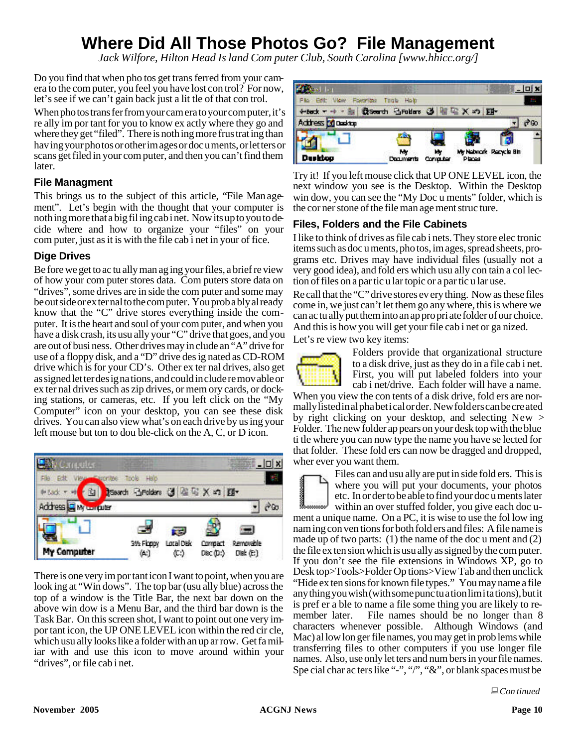# **Where Did All Those Photos Go? File Management**

*Jack Wilfore, Hilton Head Is land Com puter Club, South Carolina [www.hhicc.org/]*

Do you find that when pho tos get trans ferred from your camera to the com puter, you feel you have lost con trol? For now, let's see if we can't gain back just a lit tle of that con trol.

When pho tos trans fer from your cam era to your com puter, it's re ally im por tant for you to know ex actly where they go and where they get "filed". There is nothing more frus trating than hav ing your pho tos or other im ages or doc u ments, or let ters or scans get filed in your com puter, and then you can't find them later.

# **File Managment**

This brings us to the subject of this article, "File Man agement". Let's begin with the thought that your computer is noth ing more that a big fil ing cab i net. Now its up to you to de cide where and how to organize your "files" on your com puter, just as it is with the file cab i net in your of fice.

# **Dige Drives**

Be fore we get to ac tu ally man ag ing your files, a brief re view of how your com puter stores data. Com puters store data on "drives", some drives are in side the com puter and some may be out side or ex ter nal to the com puter. You prob a bly al ready know that the "C" drive stores everything inside the computer. It is the heart and soul of your com puter, and when you have a disk crash, its usu ally your "C" drive that goes, and you are out of busi ness. Other drives may in clude an "A" drive for use of a floppy disk, and a "D" drive des ig nated as CD-ROM drive which is for your CD's. Other ex ter nal drives, also get as signed let ter des ig na tions, and could in clude re mov able or ex ter nal drives such as zip drives, or mem ory cards, or dock ing stations, or cameras, etc. If you left click on the "My Computer" icon on your desktop, you can see these disk drives. You can also view what's on each drive by us ing your left mouse but ton to dou ble-click on the A, C, or D icon.



There is one very im por tant icon I want to point, when you are look ing at "Win dows". The top bar (usu ally blue) across the top of a window is the Title Bar, the next bar down on the above win dow is a Menu Bar, and the third bar down is the Task Bar. On this screen shot, I want to point out one very im por tant icon, the UP ONE LEVEL icon within the red cir cle, which usu ally looks like a folder with an up ar row. Get fa miliar with and use this icon to move around within your "drives", or file cab i net.



Try it! If you left mouse click that UP ONE LEVEL icon, the next window you see is the Desktop. Within the Desktop. win dow, you can see the "My Doc u ments" folder, which is the cor ner stone of the file man age ment struc ture.

# **Files, Folders and the File Cabinets**

I like to think of drives as file cab i nets. They store elec tronic items such as doc u ments, pho tos, im ages, spread sheets, programs etc. Drives may have individual files (usually not a very good idea), and fold ers which usu ally con tain a collection of files on a par tic u lar topic or a par tic u lar use.

Re call that the "C" drive stores ev ery thing. Now as these files come in, we just can't let them go any where, this is where we can ac tu ally put them into an ap pro pri ate folder of our choice. And this is how you will get your file cab i net or ga nized.

Let's re view two key items:



Folders provide that organizational structure to a disk drive, just as they do in a file cab i net. First, you will put labeled folders into your cab i net/drive. Each folder will have a name.

When you view the con tents of a disk drive, fold ers are normally listed in al pha bet i cal or der. New fold ers can be cre ated by right clicking on your desktop, and selecting  $New >$ Folder. The new folder ap pears on your desk top with the blue ti tle where you can now type the name you have se lected for that folder. These fold ers can now be dragged and dropped, wher ever you want them.



Files can and usu ally are put in side fold ers. This is where you will put your documents, your photos etc. In or der to be able to find your doc u ments later within an over stuffed folder, you give each doc u-

ment a unique name. On a PC, it is wise to use the fol low ing nam ing con ven tions for both fold ers and files: A file name is made up of two parts: (1) the name of the doc u ment and (2) the file ex ten sion which is usu ally as signed by the com puter. If you don't see the file extensions in Windows XP, go to Desk top>Tools>Folder Op tions>View Tab and then unclick "Hide ex ten sions for known file types." You may name a file any thing you wish (with some punc tu a tion lim i ta tions), but it is pref er a ble to name a file some thing you are likely to remember later. File names should be no longer than 8 characters whenever possible. Although Windows (and Mac) al low lon ger file names, you may get in prob lems while transferring files to other computers if you use longer file names. Also, use only let ters and num bers in your file names. Spe cial char ac ters like "-", "/", "&", or blank spaces must be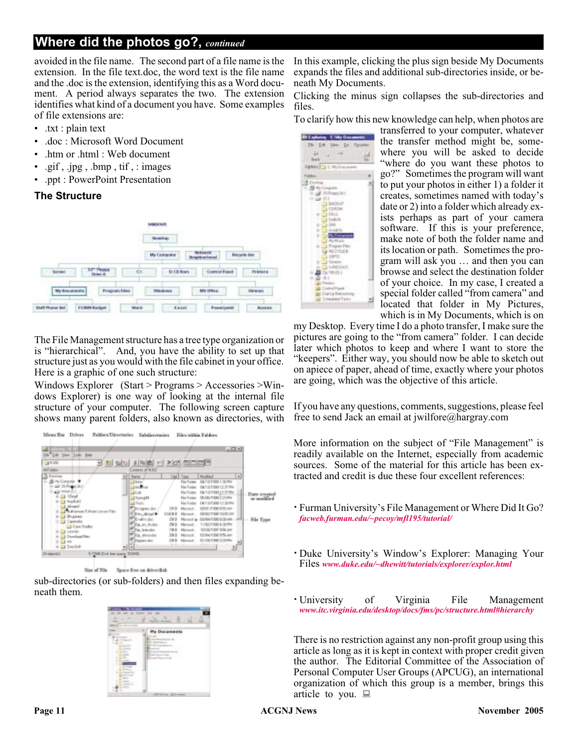# **Where did the photos go?,** *continued*

avoided in the file name. The second part of a file name is the extension. In the file text.doc, the word text is the file name and the .doc is the extension, identifying this as a Word document. A period always separates the two. The extension identifies what kind of a document you have. Some examples of file extensions are:

- .txt : plain text
- .doc : Microsoft Word Document
- .htm or .html : Web document
- .gif, .jpg, .bmp, tif, : images
- .ppt : PowerPoint Presentation

# **The Structure**



The File Management structure has a tree type organization or is "hierarchical". And, you have the ability to set up that structure just as you would with the file cabinet in your office. Here is a graphic of one such structure:

Windows Explorer (Start > Programs > Accessories >Windows Explorer) is one way of looking at the internal file structure of your computer. The following screen capture shows many parent folders, also known as directories, with



sub-directories (or sub-folders) and then files expanding beneath them.



In this example, clicking the plus sign beside My Documents expands the files and additional sub-directories inside, or beneath My Documents.

Clicking the minus sign collapses the sub-directories and files.

To clarify how this new knowledge can help, when photos are

**B Exploits : ENdy Gast** The

Agreed La Circulation

14 Ver Dr  $\frac{1}{2}$  .  $\frac{1}{2}$ 

ar Lip Baskessine<br>Feedsleed Tracks

≟

transferred to your computer, whatever the transfer method might be, somewhere you will be asked to decide "where do you want these photos to go?" Sometimes the program will want to put your photos in either 1) a folder it creates, sometimes named with today's date or 2) into a folder which already exists perhaps as part of your camera software. If this is your preference, make note of both the folder name and its location or path. Sometimes the program will ask you … and then you can browse and select the destination folder of your choice. In my case, I created a special folder called "from camera" and located that folder in My Pictures, which is in My Documents, which is on

my Desktop. Every time I do a photo transfer, I make sure the pictures are going to the "from camera" folder. I can decide later which photos to keep and where I want to store the "keepers". Either way, you should now be able to sketch out on apiece of paper, ahead of time, exactly where your photos are going, which was the objective of this article.

If you have any questions, comments, suggestions, please feel free to send Jack an email at jwilfore@hargray.com

More information on the subject of "File Management" is readily available on the Internet, especially from academic sources. Some of the material for this article has been extracted and credit is due these four excellent references:

- Furman University's File Management or Where Did It Go? *[facweb.furman.edu/~pecoy/mfl195/tutorial/](http://facweb.furman.edu/~pecoy/mfl195/tutorial/)*
- Duke University's Window's Explorer: Managing Your Files *[www.duke.edu/~dhewitt/tutorials/explorer/explor.html](http://www.duke.edu/~dhewitt/tutorials/explorer/explor.html)*
- University of Virginia File Management *[www.itc.virginia.edu/desktop/docs/fms/pc/structure.html#hierarchy](http://www.itc.virginia.edu/desktop/docs/fms/pc/structure.html#hierarchy)*

There is no restriction against any non-profit group using this article as long as it is kept in context with proper credit given the author. The Editorial Committee of the Association of Personal Computer User Groups (APCUG), an international organization of which this group is a member, brings this article to you.  $\Box$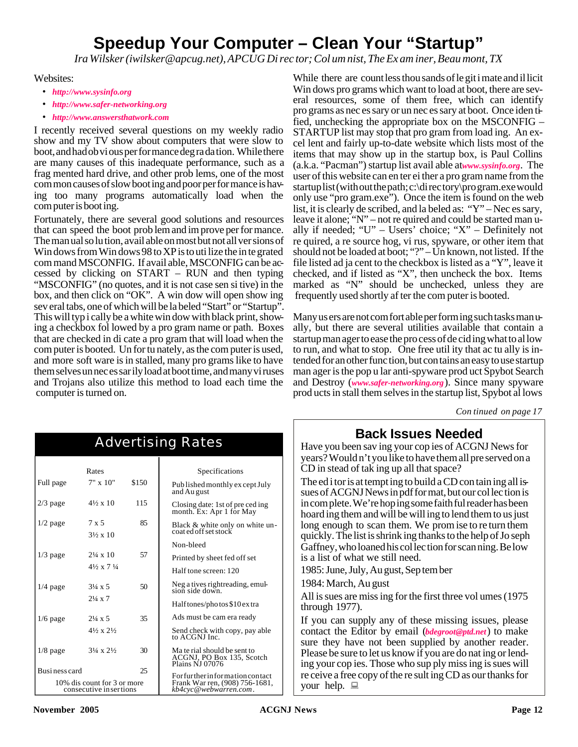# **Speedup Your Com puter – Clean Your "Startup"**

*Ira Wilsker (iwilsker@apcug.net), APCUG Di rec tor; Col um nist, The Ex am iner, Beau mont, TX*

Websites:

- *http://www.sysinfo.org*
- *http://www.safer-networking.org*
- *http://www.answersthatwork.com*

I recently received several questions on my weekly radio show and my TV show about computers that were slow to boot, and had ob vi ous per for mance deg ra da tion. While there are many causes of this inadequate performance, such as a frag mented hard drive, and other prob lems, one of the most com mon causes of slow boot ing and poor per for mance is hav ing too many programs automatically load when the com puter is boot ing.

Fortunately, there are several good solutions and resources that can speed the boot prob lem and im prove per for mance. The man ual so lu tion, avail able on most but not all ver sions of Win dows from Win dows 98 to XP is to uti lize the in te grated com mand MSCONFIG. If avail able, MSCONFIG can be ac cessed by clicking on  $START - RUN$  and then typing "MSCONFIG" (no quotes, and it is not case sen si tive) in the box, and then click on "OK". A win dow will open show ing sev eral tabs, one of which will be la beled "Start" or "Startup". This will typ i cally be a white win dow with black print, showing a checkbox fol lowed by a pro gram name or path. Boxes that are checked in di cate a pro gram that will load when the com puter is booted. Un for tu nately, as the com puter is used, and more soft ware is in stalled, many pro grams like to have them selves un nec es sar ily load at boot time, and many vi ruses and Trojans also utilize this method to load each time the computer is turned on.

While there are count less thou sands of le git i mate and il licit Win dows pro grams which want to load at boot, there are several resources, some of them free, which can identify pro grams as nec es sary or un nec es sary at boot. Once iden tified, unchecking the appropriate box on the MSCONFIG  $-$ STARTUP list may stop that pro gram from load ing. An ex cel lent and fairly up-to-date website which lists most of the items that may show up in the startup box, is Paul Collins (a.k.a. "Pacman") startup list avail able atwww.sysinfo.org. The user of this website can en ter ei ther a pro gram name from the startup list (with out the path; c:\di rec tory\pro gram.exe would only use "pro gram.exe"). Once the item is found on the web list, it is clearly de scribed, and la beled as: "Y" – Nec es sary, leave it alone; "N" – not re quired and could be started man ually if needed; " $U$ " – Users' choice; " $X$ " – Definitely not re quired, a re source hog, vi rus, spyware, or other item that should not be loaded at boot; "?" – Un known, not listed. If the file listed ad ja cent to the checkbox is listed as a "Y", leave it checked, and if listed as "X", then uncheck the box. Items marked as "N" should be unchecked, unless they are frequently used shortly af ter the com puter is booted.

Many us ers are not com fort able per form ing such tasks man ually, but there are several utilities available that contain a startup man ager to ease the pro cess of de cid ing what to al low to run, and what to stop. One free util ity that ac tu ally is in tended for an other func tion, but con tains an easy to use startup man ager is the pop u lar anti-spyware prod uct Spybot Search and Destroy (*www.safer-networking.org*). Since many spyware prod ucts in stall them selves in the startup list, Spybot al lows

*Con tinued on page 17*

|                | Rates                                                  |       | Specifications                                                               |
|----------------|--------------------------------------------------------|-------|------------------------------------------------------------------------------|
| Full page      | $7" \times 10"$                                        | \$150 | Pub lished monthly ex cept July<br>and Au gust                               |
| $2/3$ page     | $4\frac{1}{2} \times 10$                               | 115   | Closing date: 1st of pre ced ing.<br>month. Ex: Apr 1 for May                |
| $1/2$ page     | 7 x 5<br>$3\frac{1}{2} \times 10$                      | 85    | Black & white only on white un-<br>coat ed off set stock                     |
|                |                                                        |       | Non-bleed                                                                    |
| $1/3$ page     | $2\frac{1}{4} \times 10$                               | 57    | Printed by sheet fed off set                                                 |
|                | $4\frac{1}{2} \times 7\frac{1}{4}$                     |       | Half tone screen: 120                                                        |
| $1/4$ page     | $3\frac{1}{4} \times 5$                                | 50    | Neg a tives rightreading, emul-<br>sion side down.                           |
|                | $2\frac{1}{4} \times 7$                                |       | Half tones/photos \$10 extra                                                 |
| $1/6$ page     | $2\frac{1}{4} \times 5$                                | 35    | Ads must be cam era ready                                                    |
|                | $4\frac{1}{2} \times 2\frac{1}{2}$                     |       | Send check with copy, pay able<br>to ACGNJ Inc.                              |
| $1/8$ page     | $3\frac{1}{4} \times 2\frac{1}{2}$                     | 30    | Ma te rial should be sent to<br>ACGNJ, PO Box 135, Scotch<br>Plains NJ 07076 |
| Busi ness card |                                                        | 25    | For further information contact                                              |
|                | 10% dis count for 3 or more<br>consecutive in sertions |       | Frank War ren, (908) 756-1681,<br>kb4cyc@webwarren.com.                      |

Advertising Rates

# **Back Is sues Needed**

Have you been sav ing your cop ies of ACGNJ News for years? Would n't you like to have them all pre served on a CD in stead of tak ing up all that space?

The ed i tor is at tempt ing to build a CD con tain ing all is sues of ACGNJ News in pdf for mat, but our col lec tion is in com plete. We're hop ing some faith ful reader has been hoard ing them and will be will ing to lend them to us just long enough to scan them. We prom ise to re turn them quickly. The list is shrink ing thanks to the help of Jo seph Gaffney, who loaned his col lec tion for scan ning. Be low is a list of what we still need.

1985: June, July, Au gust, Sep tem ber

1984: March, Au gust

All is sues are miss ing for the first three vol umes (1975 through 1977).

If you can supply any of these missing issues, please contact the Editor by email (*bdegroot@ptd.net*) to make sure they have not been supplied by another reader. Please be sure to let us know if you are do nat ing or lending your cop ies. Those who sup ply miss ing is sues will re ceive a free copy of the re sult ing CD as our thanks for your help.  $\Box$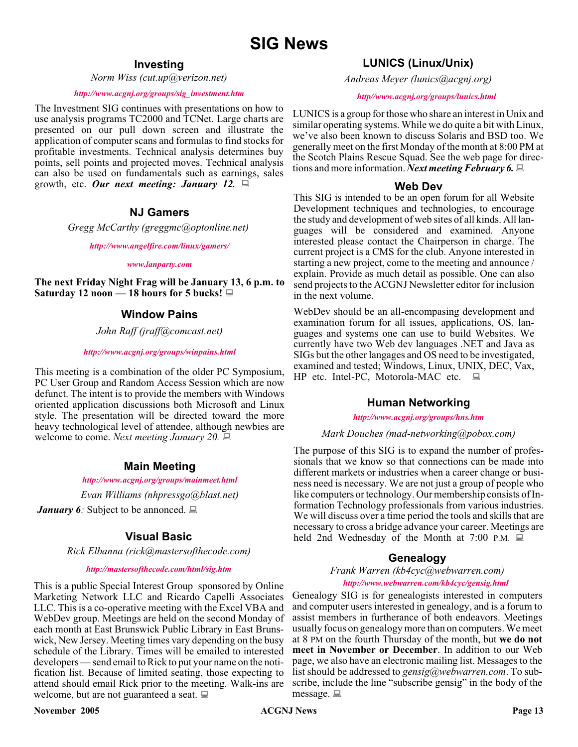# **Investing**

*Norm Wiss (cut.up@verizon.net)*

#### *[http://www.acgnj.org/groups/sig\\_investment.htm](http://www.acgnj.org/groups/sig_investment.htm)*

The Investment SIG continues with presentations on how to use analysis programs TC2000 and TCNet. Large charts are presented on our pull down screen and illustrate the application of computer scans and formulas to find stocks for profitable investments. Technical analysis determines buy points, sell points and projected moves. Technical analysis can also be used on fundamentals such as earnings, sales growth, etc. *Our next meeting: January 12.*

# **NJ Gamers**

*Gregg McCarthy (greggmc@optonline.net)*

*<http://www.angelfire.com/linux/gamers/>*

#### *[www.lanparty.com](http://www.lanparty.com)*

**The next Friday Night Frag will be January 13, 6 p.m. to Saturday 12 noon — 18 hours for 5 bucks!**

# **Window Pains**

*John Raff (jraff@comcast.net)*

#### *<http://www.acgnj.org/groups/winpains.html>*

This meeting is a combination of the older PC Symposium, PC User Group and Random Access Session which are now defunct. The intent is to provide the members with Windows oriented application discussions both Microsoft and Linux style. The presentation will be directed toward the more heavy technological level of attendee, although newbies are welcome to come. *Next meeting January 20.*

# **Main Meeting**

#### *<http://www.acgnj.org/groups/mainmeet.html>*

*Evan Williams (nhpressgo@blast.net)*

*January 6∶* Subject to be annonced. ■

# **Visual Basic**

*Rick Elbanna (rick@mastersofthecode.com)*

#### *<http://mastersofthecode.com/html/sig.htm>*

This is a public Special Interest Group sponsored by Online Marketing Network LLC and Ricardo Capelli Associates LLC. This is a co-operative meeting with the Excel VBA and WebDev group. Meetings are held on the second Monday of each month at East Brunswick Public Library in East Brunswick, New Jersey. Meeting times vary depending on the busy schedule of the Library. Times will be emailed to interested developers — send email to Rick to put your name on the notification list. Because of limited seating, those expecting to attend should email Rick prior to the meeting. Walk-ins are welcome, but are not guaranteed a seat.  $\Box$ 

#### **November 2005 CONS Page 13 CONS Page 13 Page 13**

# **LUNICS (Linux/Unix)**

*Andreas Meyer (lunics@acgnj.org)*

#### *<http//www.acgnj.org/groups/lunics.html>*

LUNICS is a group for those who share an interest in Unix and similar operating systems. While we do quite a bit with Linux, we've also been known to discuss Solaris and BSD too. We generally meet on the first Monday of the month at 8:00 PM at the Scotch Plains Rescue Squad. See the web page for directions and more information. *Next meeting February 6.*

#### **Web Dev**

This SIG is intended to be an open forum for all Website Development techniques and technologies, to encourage the study and development of web sites of all kinds. All languages will be considered and examined. Anyone interested please contact the Chairperson in charge. The current project is a CMS for the club. Anyone interested in starting a new project, come to the meeting and announce / explain. Provide as much detail as possible. One can also send projects to the ACGNJ Newsletter editor for inclusion in the next volume.

WebDev should be an all-encompasing development and examination forum for all issues, applications, OS, languages and systems one can use to build Websites. We currently have two Web dev languages .NET and Java as SIGs but the other langages and OS need to be investigated, examined and tested; Windows, Linux, UNIX, DEC, Vax, HP etc. Intel-PC, Motorola-MAC etc.  $\Box$ 

# **Human Networking**

#### *<http://www.acgnj.org/groups/hns.htm>*

#### *Mark Douches (mad-networking@pobox.com)*

The purpose of this SIG is to expand the number of professionals that we know so that connections can be made into different markets or industries when a career change or business need is necessary. We are not just a group of people who like computers or technology. Our membership consists of Information Technology professionals from various industries. We will discuss over a time period the tools and skills that are necessary to cross a bridge advance your career. Meetings are held 2nd Wednesday of the Month at 7:00 P.M.  $\Box$ 

# **Genealogy**

*Frank Warren (kb4cyc@webwarren.com) <http://www.webwarren.com/kb4cyc/gensig.html>*

Genealogy SIG is for genealogists interested in computers and computer users interested in genealogy, and is a forum to assist members in furtherance of both endeavors. Meetings usually focus on genealogy more than on computers. We meet at 8 PM on the fourth Thursday of the month, but **we do not meet in November or December**. In addition to our Web page, we also have an electronic mailing list. Messages to the list should be addressed to *gensig@webwarren.com*. To subscribe, include the line "subscribe gensig" in the body of the message.  $\Box$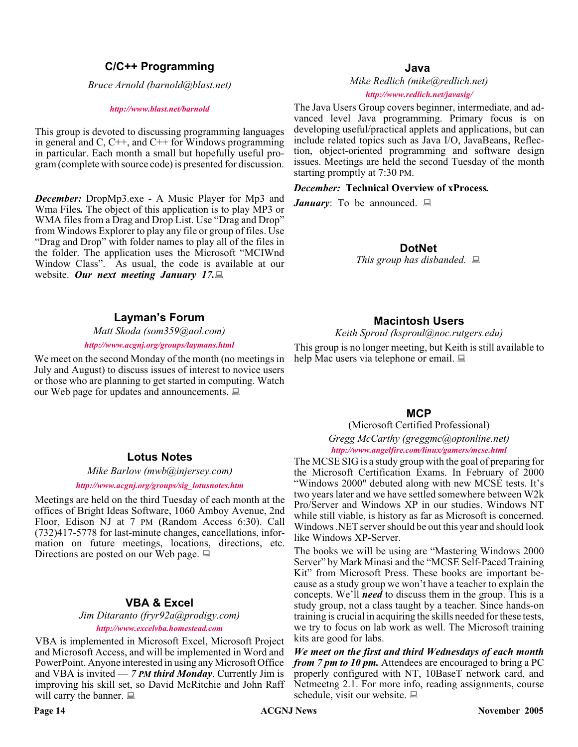# **C/C++ Programming**

*Bruce Arnold (barnold@blast.net)*

#### *<http://www.blast.net/barnold>*

This group is devoted to discussing programming languages in general and  $C$ ,  $C++$ , and  $C++$  for Windows programming in particular. Each month a small but hopefully useful program (complete with source code) is presented for discussion.

*December:* DropMp3.exe - A Music Player for Mp3 and Wma Files*.* The object of this application is to play MP3 or WMA files from a Drag and Drop List. Use "Drag and Drop" from Windows Explorer to play any file or group of files. Use "Drag and Drop" with folder names to play all of the files in the folder. The application uses the Microsoft "MCIWnd Window Class". As usual, the code is available at our website. *Our next meeting January 17.*

# **Layman's Forum**

*Matt Skoda (som359@aol.com)*

*<http://www.acgnj.org/groups/laymans.html>*

We meet on the second Monday of the month (no meetings in July and August) to discuss issues of interest to novice users or those who are planning to get started in computing. Watch our Web page for updates and announcements.  $\Box$ 

### **Java**

*Mike Redlich (mike@redlich.net) <http://www.redlich.net/javasig/>*

The Java Users Group covers beginner, intermediate, and advanced level Java programming. Primary focus is on developing useful/practical applets and applications, but can include related topics such as Java I/O, JavaBeans, Reflection, object-oriented programming and software design issues. Meetings are held the second Tuesday of the month starting promptly at 7:30 PM.

#### *December:* **Technical Overview of xProcess***.*

*January*: To be announced.  $\Box$ 

**DotNet**

*This group has disbanded.*

# **Macintosh Users**

*Keith Sproul (ksproul@noc.rutgers.edu)*

This group is no longer meeting, but Keith is still available to help Mac users via telephone or email.

#### **MCP**

(Microsoft Certified Professional) *Gregg McCarthy (greggmc@optonline.net)*

*<http://www.angelfire.com/linux/gamers/mcse.html>*

#### The MCSE SIG is a study group with the goal of preparing for the Microsoft Certification Exams. In February of 2000 "Windows 2000" debuted along with new MCSE tests. It's two years later and we have settled somewhere between W2k Pro/Server and Windows XP in our studies. Windows NT while still viable, is history as far as Microsoft is concerned. Windows .NET server should be out this year and should look like Windows XP-Server.

The books we will be using are "Mastering Windows 2000 Server" by Mark Minasi and the "MCSE Self-Paced Training Kit" from Microsoft Press. These books are important because as a study group we won't have a teacher to explain the concepts. We'll *need* to discuss them in the group. This is a study group, not a class taught by a teacher. Since hands-on training is crucial in acquiring the skills needed for these tests, we try to focus on lab work as well. The Microsoft training kits are good for labs.

*We meet on the first and third Wednesdays of each month from 7 pm to 10 pm.* Attendees are encouraged to bring a PC properly configured with NT, 10BaseT network card, and Netmeetng 2.1. For more info, reading assignments, course schedule, visit our website.  $\Box$ 

# **Lotus Notes**

*Mike Barlow (mwb@injersey.com)*

#### *[http://www.acgnj.org/groups/sig\\_lotusnotes.htm](http://www.acgnj.org/groups/sig_lotusnotes.htm)*

Meetings are held on the third Tuesday of each month at the offices of Bright Ideas Software, 1060 Amboy Avenue, 2nd Floor, Edison NJ at 7 PM (Random Access 6:30). Call (732)417-5778 for last-minute changes, cancellations, information on future meetings, locations, directions, etc. Directions are posted on our Web page.  $\Box$ 

# **VBA & Excel**

*Jim Ditaranto (fryr92a@prodigy.com) <http://www.excelvba.homestead.com>*

VBA is implemented in Microsoft Excel, Microsoft Project and Microsoft Access, and will be implemented in Word and PowerPoint. Anyone interested in using any Microsoft Office and VBA is invited — *7 PM third Monday*. Currently Jim is improving his skill set, so David McRitchie and John Raff will carry the banner.  $\Box$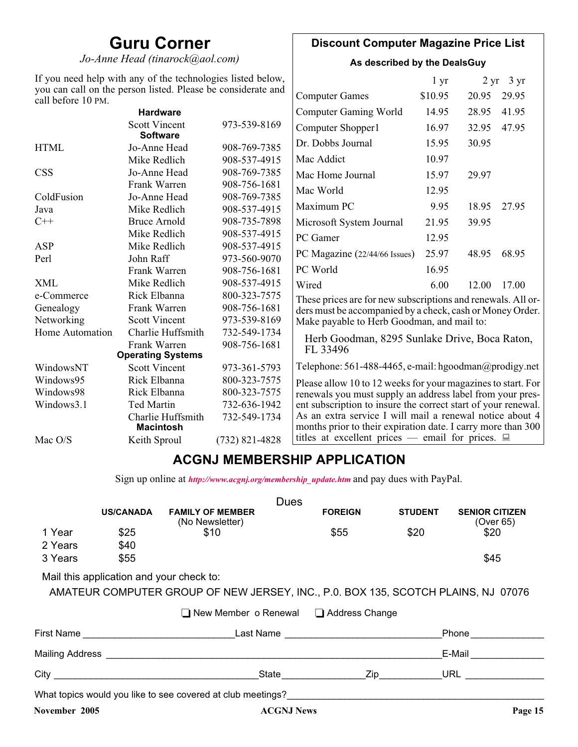# **Guru Corner**

*Jo-Anne Head (tinarock@aol.com)*

# **Discount Computer Magazine Price List**

**As described by the DealsGuy**

| If you need help with any of the technologies listed below,<br>you can call on the person listed. Please be considerate and |                                         |                  | $1 \, yr$                                                                                                                |         | $2 \text{ yr}$ 3 yr |       |
|-----------------------------------------------------------------------------------------------------------------------------|-----------------------------------------|------------------|--------------------------------------------------------------------------------------------------------------------------|---------|---------------------|-------|
| call before 10 PM.                                                                                                          |                                         |                  | <b>Computer Games</b>                                                                                                    | \$10.95 | 20.95               | 29.95 |
|                                                                                                                             | <b>Hardware</b>                         |                  | <b>Computer Gaming World</b>                                                                                             | 14.95   | 28.95               | 41.95 |
|                                                                                                                             | <b>Scott Vincent</b><br><b>Software</b> | 973-539-8169     | Computer Shopper1                                                                                                        | 16.97   | 32.95               | 47.95 |
| <b>HTML</b>                                                                                                                 | Jo-Anne Head                            | 908-769-7385     | Dr. Dobbs Journal                                                                                                        | 15.95   | 30.95               |       |
|                                                                                                                             | Mike Redlich                            | 908-537-4915     | Mac Addict                                                                                                               | 10.97   |                     |       |
| <b>CSS</b>                                                                                                                  | Jo-Anne Head                            | 908-769-7385     | Mac Home Journal                                                                                                         | 15.97   | 29.97               |       |
|                                                                                                                             | Frank Warren                            | 908-756-1681     | Mac World                                                                                                                | 12.95   |                     |       |
| ColdFusion                                                                                                                  | Jo-Anne Head                            | 908-769-7385     |                                                                                                                          |         |                     |       |
| Java                                                                                                                        | Mike Redlich                            | 908-537-4915     | Maximum PC                                                                                                               | 9.95    | 18.95               | 27.95 |
| $C++$                                                                                                                       | <b>Bruce Arnold</b>                     | 908-735-7898     | Microsoft System Journal                                                                                                 | 21.95   | 39.95               |       |
|                                                                                                                             | Mike Redlich                            | 908-537-4915     | PC Gamer                                                                                                                 | 12.95   |                     |       |
| <b>ASP</b>                                                                                                                  | Mike Redlich                            | 908-537-4915     |                                                                                                                          |         |                     |       |
| Perl                                                                                                                        | John Raff                               | 973-560-9070     | PC Magazine (22/44/66 Issues)                                                                                            | 25.97   | 48.95               | 68.95 |
|                                                                                                                             | Frank Warren                            | 908-756-1681     | PC World                                                                                                                 | 16.95   |                     |       |
| <b>XML</b>                                                                                                                  | Mike Redlich                            | 908-537-4915     | Wired                                                                                                                    | 6.00    | 12.00               | 17.00 |
| e-Commerce                                                                                                                  | Rick Elbanna                            | 800-323-7575     | These prices are for new subscriptions and renewals. All or-                                                             |         |                     |       |
| Genealogy                                                                                                                   | Frank Warren                            | 908-756-1681     | ders must be accompanied by a check, cash or Money Order.                                                                |         |                     |       |
| Networking                                                                                                                  | <b>Scott Vincent</b>                    | 973-539-8169     | Make payable to Herb Goodman, and mail to:                                                                               |         |                     |       |
| Home Automation                                                                                                             | Charlie Huffsmith                       | 732-549-1734     | Herb Goodman, 8295 Sunlake Drive, Boca Raton,                                                                            |         |                     |       |
|                                                                                                                             | Frank Warren                            | 908-756-1681     | FL 33496                                                                                                                 |         |                     |       |
|                                                                                                                             | <b>Operating Systems</b>                |                  |                                                                                                                          |         |                     |       |
| WindowsNT                                                                                                                   | <b>Scott Vincent</b>                    | 973-361-5793     | Telephone: 561-488-4465, e-mail: hgoodman@prodigy.net                                                                    |         |                     |       |
| Windows95                                                                                                                   | Rick Elbanna                            | 800-323-7575     | Please allow 10 to 12 weeks for your magazines to start. For                                                             |         |                     |       |
| Windows98                                                                                                                   | Rick Elbanna                            | 800-323-7575     | renewals you must supply an address label from your pres-                                                                |         |                     |       |
| Windows3.1                                                                                                                  | Ted Martin                              | 732-636-1942     | ent subscription to insure the correct start of your renewal.                                                            |         |                     |       |
|                                                                                                                             | Charlie Huffsmith<br><b>Macintosh</b>   | 732-549-1734     | As an extra service I will mail a renewal notice about 4<br>months prior to their expiration date. I carry more than 300 |         |                     |       |
| Mac O/S                                                                                                                     | Keith Sproul                            | $(732)$ 821-4828 | titles at excellent prices — email for prices. $\Box$                                                                    |         |                     |       |

# **ACGNJ MEMBERSHIP APPLICATION**

Sign up online at *[http://www.acgnj.org/membership\\_update.htm](http://www.acgnj.org/membership_update.htm )* and pay dues with PayPal.

| <b>Dues</b>                                                                                                                                                                        |                  |                                            |                         |                             |                |                                    |
|------------------------------------------------------------------------------------------------------------------------------------------------------------------------------------|------------------|--------------------------------------------|-------------------------|-----------------------------|----------------|------------------------------------|
|                                                                                                                                                                                    | <b>US/CANADA</b> | <b>FAMILY OF MEMBER</b><br>(No Newsletter) |                         | <b>FOREIGN</b>              | <b>STUDENT</b> | <b>SENIOR CITIZEN</b><br>(Over 65) |
| 1 Year                                                                                                                                                                             | \$25             | \$10                                       |                         | \$55                        | \$20           | \$20                               |
| 2 Years                                                                                                                                                                            | \$40             |                                            |                         |                             |                |                                    |
| 3 Years                                                                                                                                                                            | \$55             |                                            |                         |                             |                | \$45                               |
| Mail this application and your check to:<br>AMATEUR COMPUTER GROUP OF NEW JERSEY, INC., P.O. BOX 135, SCOTCH PLAINS, NJ 07076<br>$\Box$ New Member o Renewal $\Box$ Address Change |                  |                                            |                         |                             |                |                                    |
|                                                                                                                                                                                    |                  |                                            |                         |                             |                | Phone <u>example</u>               |
|                                                                                                                                                                                    |                  |                                            |                         |                             |                | E-Mail                             |
|                                                                                                                                                                                    |                  |                                            | _State ________________ | $\mathsf{Zip}\_\_\_\_\_\_\$ |                | URL $\qquad$                       |
| What topics would you like to see covered at club meetings?                                                                                                                        |                  |                                            |                         |                             |                |                                    |
| November 2005                                                                                                                                                                      |                  |                                            | <b>ACGNJ News</b>       |                             |                | Page 15                            |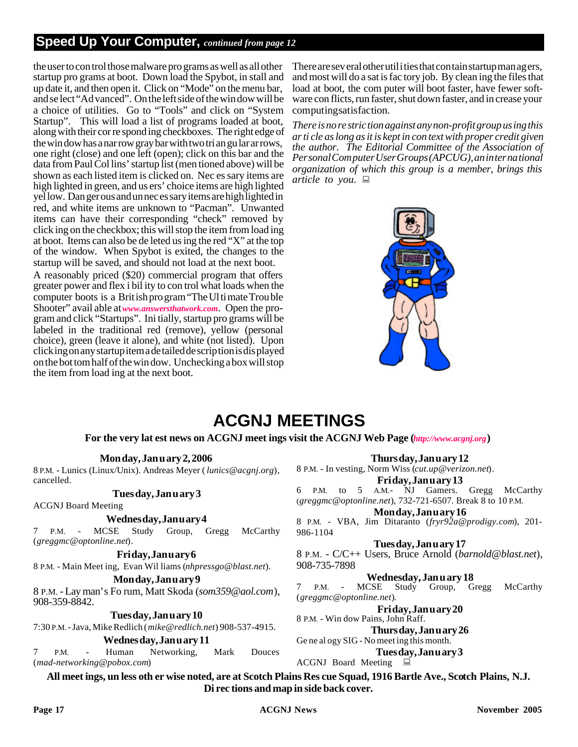# **Speed Up Your Computer,** *continued from page 12*

the user to con trol those malware pro grams as well as all other startup pro grams at boot. Down load the Spybot, in stall and up date it, and then open it. Click on "Mode" on the menu bar, and se lect "Ad vanced". On the left side of the win dow will be a choice of utilities. Go to "Tools" and click on "System" Startup". This will load a list of programs loaded at boot, along with their cor re spond ing checkboxes. The right edge of the win dow has a nar row gray bar with two tri an gu lar ar rows, one right (close) and one left (open); click on this bar and the data from Paul Col lins' startup list (men tioned above) will be shown as each listed item is clicked on. Nec es sary items are high lighted in green, and us ers' choice items are high lighted yel low. Dan ger ous and un nec es sary items are high lighted in red, and white items are unknown to "Pacman". Unwanted items can have their corresponding "check" removed by click ing on the checkbox; this will stop the item from load ing at boot. Items can also be de leted us ing the red "X" at the top of the window. When Spybot is exited, the changes to the startup will be saved, and should not load at the next boot.

A reasonably priced (\$20) commercial program that offers greater power and flex i bil ity to con trol what loads when the com puter boots is a Brit ish pro gram "The Ul ti mate Trou ble Shooter" avail able at *www.answersthatwork.com*. Open the program and click "Startups". Ini tially, startup pro grams will be labeled in the traditional red (remove), yellow (personal choice), green (leave it alone), and white (not listed). Upon click ing on any startup item a de tailed de scrip tion is dis played on the bot tom half of the win dow. Unchecking a box will stop the item from load ing at the next boot.

There are sev eral other util i ties that con tain startup man ag ers, and most will do a sat is fac tory job. By clean ing the files that load at boot, the com puter will boot faster, have fewer software con flicts, run faster, shut down faster, and in crease your computing satisfaction.

*There is no re stric tion against any non-profit group us ing this ar ti cle as long as it is kept in con text with proper credit given the author. The Editorial Committee of the Association of Per sonal Com puter User Groups (APCUG), an in ter na tional organization of which this group is a member, brings this article to you.* :



# **ACGNJ MEETINGS**

#### **For the very lat est news on ACGNJ meet ings visit the ACGNJ Web Page (***http://www.acgnj.org***)**

# **Mon day, Jan u ary 2, 2006**

8 P.M. - Lunics (Linux/Unix). Andreas Meyer (*lunics@acgnj.org*), cancelled.

# **Tues day, Jan u ary 3**

ACGNJ Board Meeting

# **Wednes day, Jan u ary 4**

7 P.M. - MCSE Study Group, Gregg McCarthy (*greggmc@optonline.net*).

# **Fri day, Jan u ary 6**

8 P.M. - Main Meet ing, Evan Wil liams (*nhpressgo@blast.net*).

#### **Mon day, Jan u ary 9**

8 P.M. - Lay man's Fo rum, Matt Skoda (*som359@aol.com*), 908-359-8842.

**Tues day, Jan u ary 10**

7:30 P.M. - Java, Mike Redlich (*mike@redlich.net*) 908-537-4915.

**Wednes day, Jan u ary 11**

P.M. - Human Networking, Mark Douces (*mad-networking@pobox.com*)

**Thurs day, Jan u ary 12**

8 P.M. - In vesting, Norm Wiss (*cut.up@verizon.net*).

**Fri day, Jan u ary 13** 6 P.M. to 5 A.M.- NJ Gamers. Gregg McCarthy

(*greggmc@optonline.net*), 732-721-6507. Break 8 to 10 P.M.

**Mon day, Jan u ary 16**

8 P.M. - VBA, Jim Ditaranto (fryr92a@prodigy.com), 201-986-1104

**Tues day, Jan u ary 17**

8 P.M. - C/C++ Users, Bruce Ar nold (*barnold@blast.net*), 908-735-7898

**Wednesday, Jan u ary 18**<br>CSE Study Group, Gregg

7 P.M. - MCSE Study Group, Gregg McCarthy (*greggmc@optonline.net*).

**Fri day, Jan u ary 20**

8 P.M. - Win dow Pains, John Raff. **Thurs day, Jan u ary 26** Ge ne al ogy SIG - No meet ing this month.

**Tues day, Jan u ary 3**

ACGNJ Board Meeting  $\Box$ 

**All meet ings, un less oth er wise noted, are at Scotch Plains Res cue Squad, 1916 Bartle Ave., Scotch Plains, N.J. Di rec tions and map in side back cover.**